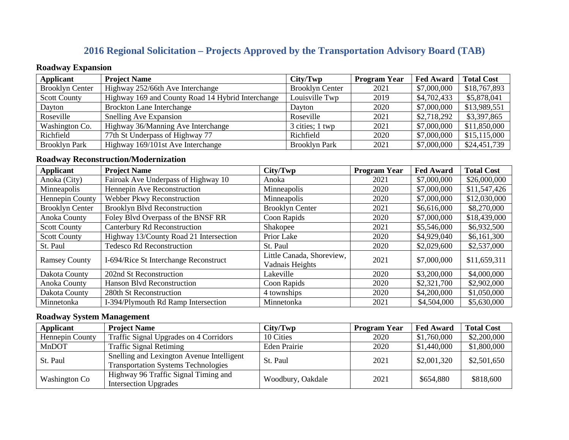# **2016 Regional Solicitation – Projects Approved by the Transportation Advisory Board (TAB)**

### **Roadway Expansion**

| Applicant              | <b>Project Name</b>                               | City/Twp               | <b>Program Year</b> | <b>Fed Award</b> | <b>Total Cost</b> |
|------------------------|---------------------------------------------------|------------------------|---------------------|------------------|-------------------|
| <b>Brooklyn Center</b> | Highway 252/66th Ave Interchange                  | <b>Brooklyn Center</b> | 2021                | \$7,000,000      | \$18,767,893      |
| <b>Scott County</b>    | Highway 169 and County Road 14 Hybrid Interchange | Louisville Twp         | 2019                | \$4,702,433      | \$5,878,041       |
| Dayton                 | <b>Brockton Lane Interchange</b>                  | Davton                 | 2020                | \$7,000,000      | \$13,989,551      |
| Roseville              | Snelling Ave Expansion                            | Roseville              | 2021                | \$2,718,292      | \$3,397,865       |
| Washington Co.         | Highway 36/Manning Ave Interchange                | 3 cities; 1 twp        | 2021                | \$7,000,000      | \$11,850,000      |
| Richfield              | 77th St Underpass of Highway 77                   | Richfield              | 2020                | \$7,000,000      | \$15,115,000      |
| <b>Brooklyn Park</b>   | Highway 169/101st Ave Interchange                 | <b>Brooklyn Park</b>   | 2021                | \$7,000,000      | \$24,451,739      |

### **Roadway Reconstruction/Modernization**

| <b>Applicant</b>       | <b>Project Name</b>                    | City/Two                                     | <b>Program Year</b> | <b>Fed Award</b> | <b>Total Cost</b> |
|------------------------|----------------------------------------|----------------------------------------------|---------------------|------------------|-------------------|
| Anoka (City)           | Fairoak Ave Underpass of Highway 10    | Anoka                                        | 2021                | \$7,000,000      | \$26,000,000      |
| Minneapolis            | Hennepin Ave Reconstruction            | Minneapolis                                  | 2020                | \$7,000,000      | \$11,547,426      |
| Hennepin County        | <b>Webber Pkwy Reconstruction</b>      | Minneapolis                                  | 2020                | \$7,000,000      | \$12,030,000      |
| <b>Brooklyn Center</b> | <b>Brooklyn Blvd Reconstruction</b>    | <b>Brooklyn Center</b>                       | 2021                | \$6,616,000      | \$8,270,000       |
| <b>Anoka County</b>    | Foley Blvd Overpass of the BNSF RR     | Coon Rapids                                  | 2020                | \$7,000,000      | \$18,439,000      |
| <b>Scott County</b>    | Canterbury Rd Reconstruction           | Shakopee                                     | 2021                | \$5,546,000      | \$6,932,500       |
| <b>Scott County</b>    | Highway 13/County Road 21 Intersection | Prior Lake                                   | 2020                | \$4,929,040      | \$6,161,300       |
| St. Paul               | <b>Tedesco Rd Reconstruction</b>       | St. Paul                                     | 2020                | \$2,029,600      | \$2,537,000       |
| <b>Ramsey County</b>   | I-694/Rice St Interchange Reconstruct  | Little Canada, Shoreview,<br>Vadnais Heights | 2021                | \$7,000,000      | \$11,659,311      |
| Dakota County          | 202nd St Reconstruction                | Lakeville                                    | 2020                | \$3,200,000      | \$4,000,000       |
| Anoka County           | Hanson Blvd Reconstruction             | Coon Rapids                                  | 2020                | \$2,321,700      | \$2,902,000       |
| Dakota County          | 280th St Reconstruction                | 4 townships                                  | 2020                | \$4,200,000      | \$1,050,000       |
| Minnetonka             | I-394/Plymouth Rd Ramp Intersection    | Minnetonka                                   | 2021                | \$4,504,000      | \$5,630,000       |

### **Roadway System Management**

| <b>Applicant</b>     | <b>Project Name</b>                                                                     | City/Two          | <b>Program Year</b> | <b>Fed Award</b> | <b>Total Cost</b> |
|----------------------|-----------------------------------------------------------------------------------------|-------------------|---------------------|------------------|-------------------|
| Hennepin County      | Traffic Signal Upgrades on 4 Corridors                                                  | 10 Cities         | 2020                | \$1,760,000      | \$2,200,000       |
| MnDOT                | <b>Traffic Signal Retiming</b>                                                          | Eden Prairie      | 2020                | \$1,440,000      | \$1,800,000       |
| St. Paul             | Snelling and Lexington Avenue Intelligent<br><b>Transportation Systems Technologies</b> | St. Paul          | 2021                | \$2,001,320      | \$2,501,650       |
| <b>Washington Co</b> | Highway 96 Traffic Signal Timing and<br><b>Intersection Upgrades</b>                    | Woodbury, Oakdale | 2021                | \$654,880        | \$818,600         |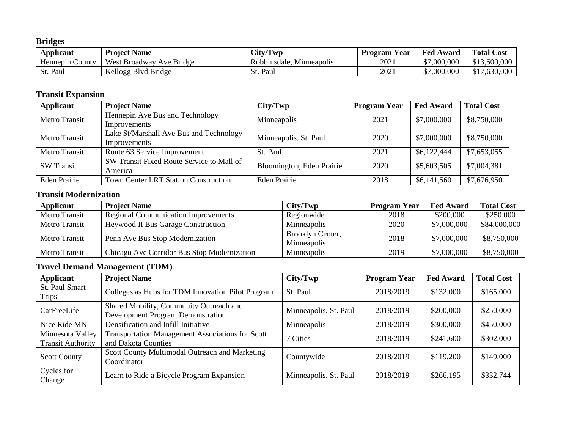**Bridges**

| $\mathbf{v}$<br>Applicant | <b>Project Name</b>         | City/Twp                    | $\mathbf{v}$<br>Year<br>Program | <b>Fed Award</b> | <b>Total Cost</b> |
|---------------------------|-----------------------------|-----------------------------|---------------------------------|------------------|-------------------|
| Hennepin County           | West Broadway<br>Ave Bridge | Robbinsdale.<br>Minneapolis | 2021                            | \$7,000,000      | \$13,500,000      |
| St. Paul                  | Kellogg Blyd Bridge         | Paul<br>St.                 | 2021                            | \$7,000,000      | \$17,630,000      |

## **Transit Expansion**

| Applicant            | <b>Project Name</b>                                     | City/Two                  | <b>Program Year</b> | <b>Fed Award</b> | <b>Total Cost</b> |
|----------------------|---------------------------------------------------------|---------------------------|---------------------|------------------|-------------------|
| <b>Metro Transit</b> | Hennepin Ave Bus and Technology<br>Improvements         | Minneapolis               | 2021                | \$7,000,000      | \$8,750,000       |
| Metro Transit        | Lake St/Marshall Ave Bus and Technology<br>Improvements | Minneapolis, St. Paul     | 2020                | \$7,000,000      | \$8,750,000       |
| Metro Transit        | Route 63 Service Improvement                            | St. Paul                  | 2021                | \$6,122,444      | \$7,653,055       |
| <b>SW Transit</b>    | SW Transit Fixed Route Service to Mall of<br>America    | Bloomington, Eden Prairie | 2020                | \$5,603,505      | \$7,004,381       |
| <b>Eden Prairie</b>  | <b>Town Center LRT Station Construction</b>             | Eden Prairie              | 2018                | \$6,141,560      | \$7,676,950       |

### **Transit Modernization**

| Applicant            | <b>Project Name</b>                         | City/Twp                        | <b>Program Year</b> | <b>Fed Award</b> | <b>Total Cost</b> |
|----------------------|---------------------------------------------|---------------------------------|---------------------|------------------|-------------------|
| Metro Transit        | <b>Regional Communication Improvements</b>  | Regionwide                      | 2018                | \$200,000        | \$250,000         |
| <b>Metro Transit</b> | <b>Heywood II Bus Garage Construction</b>   | <b>Minneapolis</b>              | 2020                | \$7,000,000      | \$84,000,000      |
| Metro Transit        | Penn Ave Bus Stop Modernization             | Brooklyn Center,<br>Minneapolis | 2018                | \$7,000,000      | \$8,750,000       |
| Metro Transit        | Chicago Ave Corridor Bus Stop Modernization | Minneapolis                     | 2019                | \$7,000,000      | \$8,750,000       |

## **Travel Demand Management (TDM)**

| Applicant                                    | <b>Project Name</b>                                                                 | City/Twp              | <b>Program Year</b> | <b>Fed Award</b> | <b>Total Cost</b> |
|----------------------------------------------|-------------------------------------------------------------------------------------|-----------------------|---------------------|------------------|-------------------|
| St. Paul Smart<br><b>Trips</b>               | Colleges as Hubs for TDM Innovation Pilot Program                                   | St. Paul              | 2018/2019           | \$132,000        | \$165,000         |
| CarFreeLife                                  | Shared Mobility, Community Outreach and<br><b>Development Program Demonstration</b> | Minneapolis, St. Paul | 2018/2019           | \$200,000        | \$250,000         |
| Nice Ride MN                                 | Densification and Infill Initiative                                                 | Minneapolis           | 2018/2019           | \$300,000        | \$450,000         |
| Minnesota Valley<br><b>Transit Authority</b> | <b>Transportation Management Associations for Scott</b><br>and Dakota Counties      | 7 Cities              | 2018/2019           | \$241,600        | \$302,000         |
| <b>Scott County</b>                          | Scott County Multimodal Outreach and Marketing<br>Coordinator                       | Countywide            | 2018/2019           | \$119,200        | \$149,000         |
| Cycles for<br>Change                         | Learn to Ride a Bicycle Program Expansion                                           | Minneapolis, St. Paul | 2018/2019           | \$266,195        | \$332,744         |